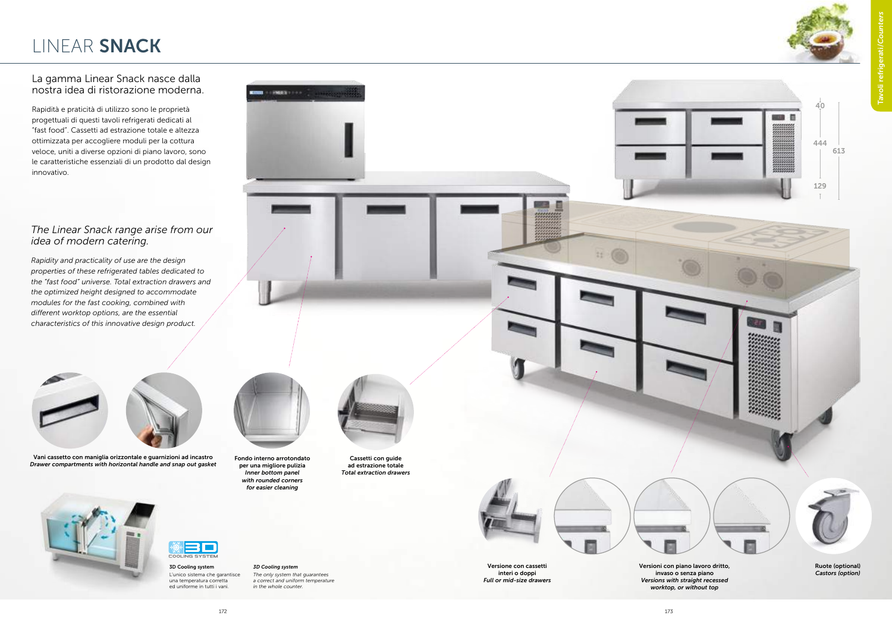



#### La gamma Linear Snack nasce dalla nostra idea di ristorazione moderna.

Rapidità e praticità di utilizzo sono le proprietà progettuali di questi tavoli refrigerati dedicati al "fast food". Cassetti ad estrazione totale e altezza ottimizzata per accogliere moduli per la cottura veloce, uniti a diverse opzioni di piano lavoro, sono le caratteristiche essenziali di un prodotto dal design innovativo.

Vani cassetto con maniglia orizzontale e guarnizioni ad incastro Drawer compartments with horizontal handle and snap out gasket





L'unico sistema che garantisce una temperatura corretta ed uniforme in tutti i vani.

## 3D Cooling system

The only system that guarantees a correct and uniform temperature in the whole counter.

Versione con cassetti interi o doppi Full or mid-size drawers Versioni con piano lavoro dritto, invaso o senza piano Versions with straight recessed worktop, or without top

Ruote (optional) Castors (option)

Fondo interno arrotondato per una migliore pulizia Inner bottom panel with rounded corners for easier cleaning



Cassetti con guide ad estrazione totale Total extraction drawers



### LINEAR SNACK

#### The Linear Snack range arise from our idea of modern catering.

Rapidity and practicality of use are the design properties of these refrigerated tables dedicated to the "fast food" universe. Total extraction drawers and the optimized height designed to accommodate modules for the fast cooking, combined with different worktop options, are the essential characteristics of this innovative design product.



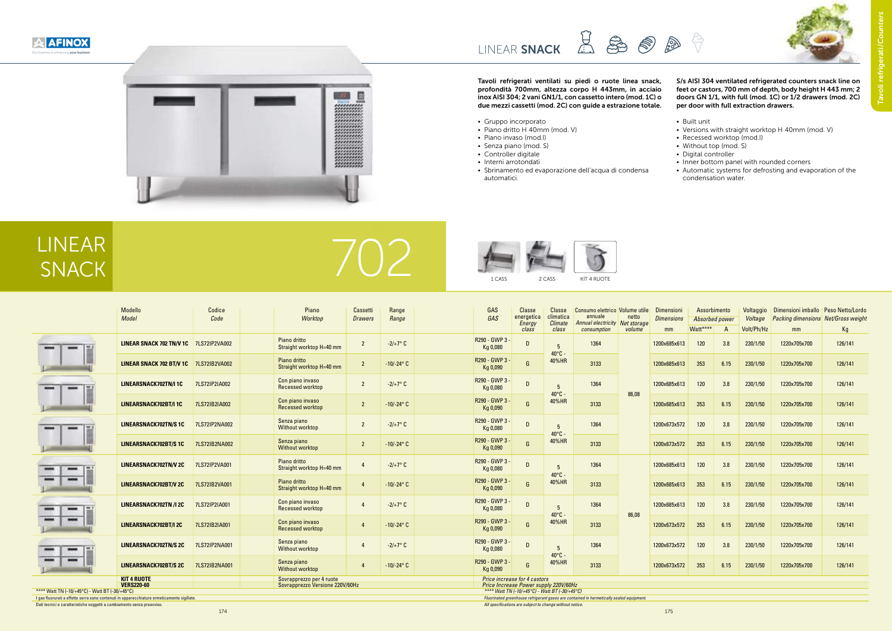1 CASS 2 CASS







# LINEAR







Tavoli refrigerati ventilati su piedi o ruote linea snack, profondità 700mm, altezza corpo H 443mm, in acciaio inox AISI 304; 2 vani GN1/1, con cassetto intero (mod. 1C) o due mezzi cassetti (mod. 2C) con guide a estrazione totale.

- Gruppo incorporato
- Piano dritto H 40mm (mod. V)
- Piano invaso (mod.I)
- Senza piano (mod. S)
- Controller digitale
- Interni arrotondati
- Sbrinamento ed evaporazione dell'acqua di condensa automatici.

#### S/s AISI 304 ventilated refrigerated counters snack line on feet or castors, 700 mm of depth, body height H 443 mm; 2 doors GN 1/1, with full (mod. 1C) or 1/2 drawers (mod. 2C) per door with full extraction drawers.

- Built unit
- Versions with straight worktop H 40mm (mod. V)
- Recessed worktop (mod.I)
- Without top (mod. S)
- Digital controller
- Inner bottom panel with rounded corners
- Automatic systems for defrosting and evaporation of the condensation water.

|                                                                                                                                                                                                   | Modello<br>Model                                                                      |               |  | Piano<br>Worktop                            | Cassetti<br><b>Drawers</b> | Range<br>Range      |  | GAS<br>GAS                 | <b>Classe</b><br>energetica | Classe<br>climatica                | Consumo elettrico   Volume utile  <br>annuale<br>netto |              | Dimensioni<br><b>Dimensions</b> | Assorbimento<br>Absorbed power |      | Voltaggio<br>Voltage | Dimensioni imballo   Peso Netto/Lordo<br><b>Packing dimensions Net/Gross weight</b> |         |
|---------------------------------------------------------------------------------------------------------------------------------------------------------------------------------------------------|---------------------------------------------------------------------------------------|---------------|--|---------------------------------------------|----------------------------|---------------------|--|----------------------------|-----------------------------|------------------------------------|--------------------------------------------------------|--------------|---------------------------------|--------------------------------|------|----------------------|-------------------------------------------------------------------------------------|---------|
|                                                                                                                                                                                                   |                                                                                       | Code          |  |                                             |                            |                     |  |                            | Energy<br>class             | <b>Climate</b><br>class            | Annual electricity Net storage<br>consumption          | volume       | mm                              | Watt****                       | A    | Volt/Ph/Hz           | mm                                                                                  | Kq      |
|                                                                                                                                                                                                   | LINEAR SNACK 702 TN/V 1C 7LS72IP2VA002                                                |               |  | Piano dritto<br>Straight worktop H=40 mm    | $\overline{2}$             | $-2/+7^{\circ}$ C   |  | R290 - GWP 3 -<br>Kg 0,080 | D                           | 40°C -                             | 1364                                                   |              | 1200x685x613                    | 120                            | 3.8  | 230/1/50             | 1220x705x700                                                                        | 126/141 |
|                                                                                                                                                                                                   | LINEAR SNACK 702 BT/V 1C 7LS72IB2VA002                                                |               |  | Piano dritto<br>Straight worktop H=40 mm    | $\overline{2}$             | $-10/-24^{\circ}$ C |  | R290 - GWP 3<br>Kg 0,090   | G                           | 40%HR                              | 3133                                                   |              | 1200x685x613                    | 353                            | 6.15 | 230/1/50             | 1220x705x700                                                                        | 126/141 |
|                                                                                                                                                                                                   | <b>LINEARSNACK702TN/I 1C</b>                                                          | 7LS72IP2IA002 |  | Con piano invaso<br><b>Recessed worktop</b> | $\overline{2}$             | $-2/+7^{\circ}$ C   |  | R290 - GWP 3<br>Kg 0,080   | D                           | 40°C -                             | 1364                                                   | 86,08        | 1200x685x613                    | 120                            | 3.8  | 230/1/50             | 1220x705x700                                                                        | 126/141 |
|                                                                                                                                                                                                   | LINEARSNACK702BT/I 1C                                                                 | 7LS72IB2IA002 |  | Con piano invaso<br><b>Recessed worktop</b> | $\overline{2}$             | $-10/-24^{\circ}$ C |  | R290 - GWP 3<br>Kg 0,090   | G                           | 40%HR                              | 3133                                                   | 1364<br>3133 | 1200x685x613                    | 353                            | 6.15 | 230/1/50             | 1220x705x700                                                                        | 126/141 |
|                                                                                                                                                                                                   | <b>LINEARSNACK702TN/S 1C</b>                                                          | 7LS72IP2NA002 |  | Senza piano<br><b>Without worktop</b>       | $\overline{2}$             | $-2/+7^{\circ}$ C   |  | R290 - GWP 3<br>Kg 0,080   | D                           | $40^{\circ}$ C -                   |                                                        |              | 1200x673x572                    | 120                            | 3.8  | 230/1/50             | 1220x705x700                                                                        | 126/141 |
|                                                                                                                                                                                                   | <b>LINEARSNACK702BT/S1C</b>                                                           | 7LS72IB2NA002 |  | Senza piano<br><b>Without worktop</b>       | $\overline{2}$             | $-10/-24^{\circ}$ C |  | R290 - GWP 3<br>Kg 0,090   | G                           | 40%HR                              |                                                        |              | 1200x673x572                    | 353                            | 6.15 | 230/1/50             | 1220x705x700                                                                        | 126/141 |
|                                                                                                                                                                                                   | <b>LINEARSNACK702TN/V 2C</b>                                                          | 7LS72IP2VA001 |  | Piano dritto<br>Straight worktop H=40 mm    | $\overline{4}$             | $-2/+7^{\circ}$ C   |  | R290 - GWP 3 -<br>Kg 0,080 | D                           | 40°C -                             | 1364                                                   | 86,08        | 1200x685x613                    | 120                            | 3.8  | 230/1/50             | 1220x705x700                                                                        | 126/141 |
|                                                                                                                                                                                                   | <b>LINEARSNACK702BT/V2C</b>                                                           | 7LS72IB2VA001 |  | Piano dritto<br>Straight worktop H=40 mm    | $\overline{4}$             | $-10/-24^{\circ}$ C |  | R290 - GWP 3<br>Kg 0,090   | G                           | 40%HR<br>40°C -<br>40%HR<br>40°C - | 3133                                                   |              | 1200x685x613                    | 353                            | 6.15 | 230/1/50             | 1220x705x700                                                                        | 126/141 |
|                                                                                                                                                                                                   | <b>LINEARSNACK702TN /I 2C</b>                                                         | 7LS72IP2IA001 |  | Con piano invaso<br><b>Recessed worktop</b> | $\overline{4}$             | $-2/+7°$ C          |  | R290 - GWP 3 -<br>Kg 0,080 | D                           |                                    | 1364                                                   |              | 1200x685x613                    | 120                            | 3.8  | 230/1/50             | 1220x705x700                                                                        | 126/141 |
|                                                                                                                                                                                                   | <b>LINEARSNACK702BT/I 2C</b>                                                          | 7LS72IB2IA001 |  | Con piano invaso<br><b>Recessed worktop</b> | $\overline{4}$             | $-10/-24^{\circ}$ C |  | R290 - GWP 3<br>Kg 0,090   | G                           |                                    | 3133                                                   |              | 1200x673x572                    | 353                            | 6.15 | 230/1/50             | 1220x705x700                                                                        | 126/141 |
|                                                                                                                                                                                                   | <b>LINEARSNACK702TN/S 2C</b>                                                          | 7LS72IP2NA001 |  | Senza piano<br>Without worktop              | $\overline{4}$             | $-2/+7^{\circ}$ C   |  | R290 - GWP 3 -<br>Kg 0,080 | D                           |                                    | 1364                                                   |              | 1200x673x572                    | 120                            | 3.8  | 230/1/50             | 1220x705x700                                                                        | 126/141 |
|                                                                                                                                                                                                   | <b>LINEARSNACK702BT/S 2C</b>                                                          | 7LS72IB2NA001 |  | Senza piano<br><b>Without worktop</b>       | $\overline{4}$             | $-10/-24^{\circ}$ C |  | R290 - GWP 3 -<br>Kg 0,090 | G                           | 40%HR                              | 3133                                                   |              | 1200x673x572                    | 353                            | 6.15 | 230/1/50             | 1220x705x700                                                                        | 126/141 |
|                                                                                                                                                                                                   | <b>KIT 4 RUOTE</b><br><b>Price increase for 4 castors</b><br>Sovrapprezzo per 4 ruote |               |  |                                             |                            |                     |  |                            |                             |                                    |                                                        |              |                                 |                                |      |                      |                                                                                     |         |
| <b>VERS220-60</b><br>Sovrapprezzo Versione 220V/60Hz<br>Price Increase Power supply 220V/60Hz<br>**** Watt TN (-10/+45°C) - Watt BT (-30/+45°C)<br>**** Watt TN (-10/+45°C) - Watt BT (-30/+45°C) |                                                                                       |               |  |                                             |                            |                     |  |                            |                             |                                    |                                                        |              |                                 |                                |      |                      |                                                                                     |         |
| I gas fluorurati a effetto serra sono contenuti in apparecchiature ermeticamente sigillate.<br>Fluorinated greenhouse refrigerant gases are contained in hermetically sealed equipment.           |                                                                                       |               |  |                                             |                            |                     |  |                            |                             |                                    |                                                        |              |                                 |                                |      |                      |                                                                                     |         |

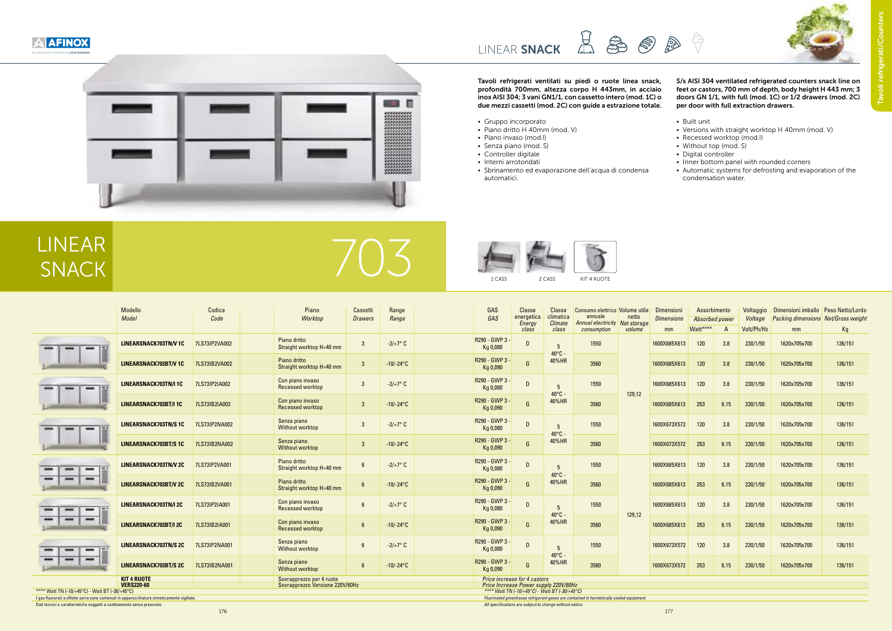

E  $-0.1$ 





Tavoli refrigerati ventilati su piedi o ruote linea snack, profondità 700mm, altezza corpo H 443mm, in acciaio inox AISI 304; 3 vani GN1/1, con cassetto intero (mod. 1C) o due mezzi cassetti (mod. 2C) con guide a estrazione totale.

- Gruppo incorporato
- Piano dritto H 40mm (mod. V)
- Piano invaso (mod.I)
- Senza piano (mod. S)
- Controller digitale
- Interni arrotondati
- Sbrinamento ed evaporazione dell'acqua di condensa automatici.

#### S/s AISI 304 ventilated refrigerated counters snack line on feet or castors, 700 mm of depth, body height H 443 mm; 3 doors GN 1/1, with full (mod. 1C) or 1/2 drawers (mod. 2C) per door with full extraction drawers.

- Built unit
- Versions with straight worktop H 40mm (mod. V)
- Recessed worktop (mod.I)
- Without top (mod. S)
- Digital controller
- Inner bottom panel with rounded corners
- Automatic systems for defrosting and evaporation of the condensation water.



|                                                                  | Modello<br><b>Model</b>                 | Codice<br>Code |                                                                                                                                             | Piano<br>Worktop                            | Cassetti<br><b>Drawers</b> | Range<br>Range    | GAS<br>GAS                 | Classe<br>energetica<br>Energy<br>class        | Classe<br>climatica<br><b>Climate</b><br>class | Consumo elettrico   Volume utile  <br>annuale<br>Annual electricity<br>consumption | netto<br>Net storage<br>volume | Dimensioni<br><b>Dimensions</b><br>mm | Assorbimento<br>Absorbed power<br>Watt**** |      | Voltaggio<br>Voltage<br>Volt/Ph/Hz | Dimensioni imballo<br><b>Packing dimensions Net/Gross weight</b><br>mm | <b>Peso Netto/Lordo</b><br>Кg |
|------------------------------------------------------------------|-----------------------------------------|----------------|---------------------------------------------------------------------------------------------------------------------------------------------|---------------------------------------------|----------------------------|-------------------|----------------------------|------------------------------------------------|------------------------------------------------|------------------------------------------------------------------------------------|--------------------------------|---------------------------------------|--------------------------------------------|------|------------------------------------|------------------------------------------------------------------------|-------------------------------|
| $\overline{\phantom{a}}$                                         | <b>LINEARSNACK703TN/V 1C</b>            | 7LS73IP2VA002  |                                                                                                                                             | Piano dritto<br>Straight worktop H=40 mm    | 3                          | $-2/+7°$ C        | R290 - GWP 3 -<br>Kg 0,080 | $\mathsf{D}$                                   | -5                                             | 1550                                                                               |                                | 1600X685X613                          | 120                                        | 3.8  | 230/1/50                           | 1620x705x700                                                           | 136/151                       |
|                                                                  | <b>LINEARSNACK703BT/V1C</b>             | 7LS73IB2VA002  |                                                                                                                                             | Piano dritto<br>Straight worktop H=40 mm    |                            | $-10/-24°C$       | R290 - GWP 3 -<br>Kg 0,090 |                                                | $40^{\circ}$ C -<br>40%HR                      | 3560                                                                               |                                | 1600X685X613                          | 120                                        | 3.8  | 230/1/50                           | 1620x705x700                                                           | 136/151                       |
| $\overline{\phantom{a}}$                                         | LINEARSNACK703TN/I 1C                   | 7LS73IP2IA002  |                                                                                                                                             | Con piano invaso<br>Recessed worktop        | 3                          | $-2/+7^{\circ}$ C | R290 - GWP 3 -<br>Kg 0,080 | D                                              | -5                                             | 1550                                                                               | 129,12                         | 1600X685X613                          | 120                                        | 3.8  | 230/1/50                           | 1620x705x700                                                           | 136/151                       |
|                                                                  | LINEARSNACK703BT/I 1C                   | 7LS73IB2IA002  |                                                                                                                                             | Con piano invaso<br>Recessed worktop        | -3                         | $-10/-24°C$       | R290 - GWP 3 -<br>Kg 0,090 | G                                              | $40^{\circ}$ C -<br>40%HR                      | 3560                                                                               |                                | 1600X685X613                          | 353                                        | 6.15 | 230/1/50                           | 1620x705x700                                                           | 136/151                       |
| $\qquad \qquad \blacksquare$                                     | <b>LINEARSNACK703TN/S 1C</b>            | 7LS73IP2NA002  |                                                                                                                                             | Senza piano<br>Without worktop              | -3                         | $-2/+7°$ C        | R290 - GWP 3 -<br>Kg 0,080 | D                                              | 5                                              | 1550                                                                               |                                | 1600X673X572                          | 120                                        | 3.8  | 230/1/50                           | 1620x705x700                                                           | 136/151                       |
|                                                                  | <b>LINEARSNACK703BT/S1C</b>             | 7LS73IB2NA002  |                                                                                                                                             | Senza piano<br><b>Without worktop</b>       | -3                         | $-10/-24$ °C      | R290 - GWP 3 -<br>Kg 0,090 | G                                              | $40^{\circ}$ C -<br>40%HR                      | 3560                                                                               |                                | 1600X673X572                          | 353                                        | 6.15 | 230/1/50                           | 1620x705x700                                                           | 136/151                       |
| $\cdots$<br>$\overline{\phantom{a}}$<br>$\overline{\phantom{0}}$ | <b>LINEARSNACK703TN/V 2C</b>            | 7LS73IP2VA001  |                                                                                                                                             | Piano dritto<br>Straight worktop H=40 mm    |                            | $-2/+7°$ C        | R290 - GWP 3 -<br>Kg 0,080 | D                                              | -5                                             | 1550                                                                               |                                | 1600X685X613                          | 120                                        | 3.8  | 230/1/50                           | 1620x705x700                                                           | 136/151                       |
| $\qquad \qquad \blacksquare$                                     | <b>LINEARSNACK703BT/V 2C</b>            | 7LS73IB2VA001  |                                                                                                                                             | Piano dritto<br>Straight worktop H=40 mm    |                            | $-10/-24°C$       | R290 - GWP 3 -<br>Kg 0,090 | G                                              | $40^{\circ}$ C -<br>40%HR                      | 3560                                                                               | 129,12                         | 1600X685X613                          | 353                                        | 6.15 | 230/1/50                           | 1620x705x700                                                           | 136/151                       |
| $\overline{\phantom{a}}$                                         | <b>LINEARSNACK703TN/I 2C</b>            | 7LS73IP2IA001  |                                                                                                                                             | Con piano invaso<br><b>Recessed worktop</b> | 6                          | $-2/+7°$ C        | R290 - GWP 3 -<br>Kg 0,080 | $\mathsf{D}$                                   | -5                                             | 1550                                                                               |                                | 1600X685X613                          | 120                                        | 3.8  | 230/1/50                           | 1620x705x700                                                           | 136/151                       |
| $\qquad \qquad \blacksquare$                                     | <b>LINEARSNACK703BT/I 2C</b>            | 7LS73IB2IA001  |                                                                                                                                             | Con piano invaso<br><b>Recessed worktop</b> | 6                          | $-10/-24$ °C      | R290 - GWP 3 -<br>Kg 0,090 |                                                | 40°C -<br>40%HR                                | 3560                                                                               |                                | 1600X685X613                          | 353                                        | 6.15 | 230/1/50                           | 1620x705x700                                                           | 136/151                       |
| $\overline{\phantom{a}}$<br>-                                    | <b>LINEARSNACK703TN/S 2C</b>            | 7LS73IP2NA001  |                                                                                                                                             | Senza piano<br><b>Without worktop</b>       | 6                          | $-2/+7°$ C        | R290 - GWP 3 -<br>Kg 0,080 | D                                              | -5                                             | 1550                                                                               |                                | 1600X673X572                          | 120                                        | 3.8  | 230/1/50                           | 1620x705x700                                                           | 136/151                       |
|                                                                  | <b>LINEARSNACK703BT/S 2C</b>            | 7LS73IB2NA001  |                                                                                                                                             | Senza piano<br><b>Without worktop</b>       |                            | $-10/-24°C$       | R290 - GWP 3 -<br>Kg 0,090 | G                                              | $40^{\circ}$ C -<br>40%HR                      | 3560                                                                               |                                | 1600X673X572                          | 353                                        | 6.15 | 230/1/50                           | 1620x705x700                                                           | 136/151                       |
|                                                                  | <b>KIT 4 RUOTE</b><br><b>VERS220-60</b> |                | <b>Price increase for 4 castors</b><br>Sovrapprezzo per 4 ruote<br>Sovrapprezzo Versione 220V/60Hz<br>Price Increase Power supply 220V/60Hz |                                             |                            |                   |                            |                                                |                                                |                                                                                    |                                |                                       |                                            |      |                                    |                                                                        |                               |
| * Watt TN (-10/+45°C) - Watt BT (-30/+45°C)                      |                                         |                |                                                                                                                                             |                                             |                            |                   |                            | **** Watt TN (-10/+45°C) - Watt BT (-30/+45°C) |                                                |                                                                                    |                                |                                       |                                            |      |                                    |                                                                        |                               |

\*\*\*\* Watt TN (-10/+45°C) - Watt BT (-30/+45°C) *\*\*\*\* Watt TN (-10/+45°C) - Watt BT (-30/+45°C)*

Dati tecnici e caratteristiche soggetti a cambiamento senza preavviso. *All specifications are subject to change without notice.* 

I gas fluorurati a effetto serra sono contenuti in apparecchiature ermeticamente sigillate. *Fluorinated greenhouse refrigerant gases are contained in hermetically sealed equipment.*